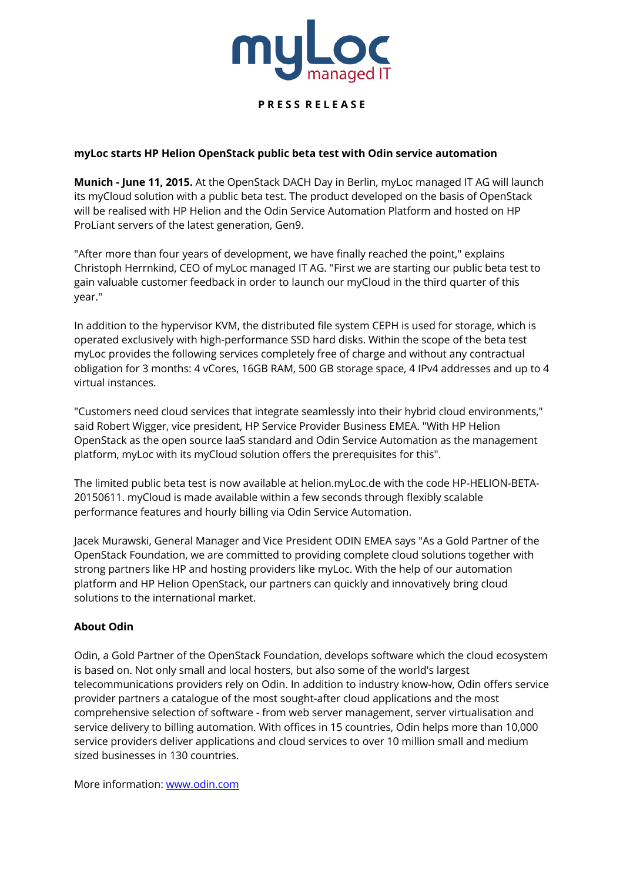

# **P R E S S R E L E A S E**

## **myLoc starts HP Helion OpenStack public beta test with Odin service automation**

**Munich - June 11, 2015.** At the OpenStack DACH Day in Berlin, myLoc managed IT AG will launch its myCloud solution with a public beta test. The product developed on the basis of OpenStack will be realised with HP Helion and the Odin Service Automation Platform and hosted on HP ProLiant servers of the latest generation, Gen9.

"After more than four years of development, we have finally reached the point," explains Christoph Herrnkind, CEO of myLoc managed IT AG. "First we are starting our public beta test to gain valuable customer feedback in order to launch our myCloud in the third quarter of this year."

In addition to the hypervisor KVM, the distributed file system CEPH is used for storage, which is operated exclusively with high-performance SSD hard disks. Within the scope of the beta test myLoc provides the following services completely free of charge and without any contractual obligation for 3 months: 4 vCores, 16GB RAM, 500 GB storage space, 4 IPv4 addresses and up to 4 virtual instances.

"Customers need cloud services that integrate seamlessly into their hybrid cloud environments," said Robert Wigger, vice president, HP Service Provider Business EMEA. "With HP Helion OpenStack as the open source IaaS standard and Odin Service Automation as the management platform, myLoc with its myCloud solution offers the prerequisites for this".

The limited public beta test is now available at helion.myLoc.de with the code HP-HELION-BETA-20150611. myCloud is made available within a few seconds through flexibly scalable performance features and hourly billing via Odin Service Automation.

Jacek Murawski, General Manager and Vice President ODIN EMEA says "As a Gold Partner of the OpenStack Foundation, we are committed to providing complete cloud solutions together with strong partners like HP and hosting providers like myLoc. With the help of our automation platform and HP Helion OpenStack, our partners can quickly and innovatively bring cloud solutions to the international market.

#### **About Odin**

Odin, a Gold Partner of the OpenStack Foundation, develops software which the cloud ecosystem is based on. Not only small and local hosters, but also some of the world's largest telecommunications providers rely on Odin. In addition to industry know-how, Odin offers service provider partners a catalogue of the most sought-after cloud applications and the most comprehensive selection of software - from web server management, server virtualisation and service delivery to billing automation. With offices in 15 countries, Odin helps more than 10,000 service providers deliver applications and cloud services to over 10 million small and medium sized businesses in 130 countries.

More information: www.odin.com